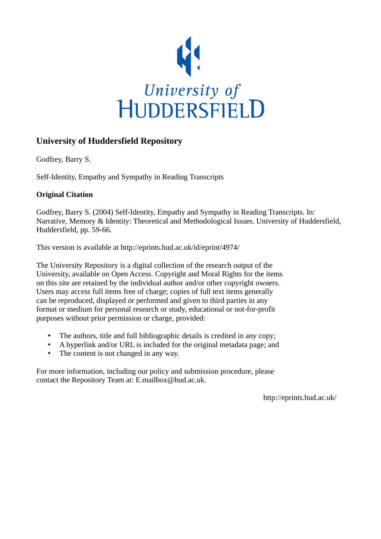

# **University of Huddersfield Repository**

Godfrey, Barry S.

Self-Identity, Empathy and Sympathy in Reading Transcripts

# **Original Citation**

Godfrey, Barry S. (2004) Self-Identity, Empathy and Sympathy in Reading Transcripts. In: Narrative, Memory & Identity: Theoretical and Methodological Issues. University of Huddersfield, Huddersfield, pp. 59-66.

This version is available at http://eprints.hud.ac.uk/id/eprint/4974/

The University Repository is a digital collection of the research output of the University, available on Open Access. Copyright and Moral Rights for the items on this site are retained by the individual author and/or other copyright owners. Users may access full items free of charge; copies of full text items generally can be reproduced, displayed or performed and given to third parties in any format or medium for personal research or study, educational or not-for-profit purposes without prior permission or charge, provided:

- The authors, title and full bibliographic details is credited in any copy;
- A hyperlink and/or URL is included for the original metadata page; and
- The content is not changed in any way.

For more information, including our policy and submission procedure, please contact the Repository Team at: E.mailbox@hud.ac.uk.

http://eprints.hud.ac.uk/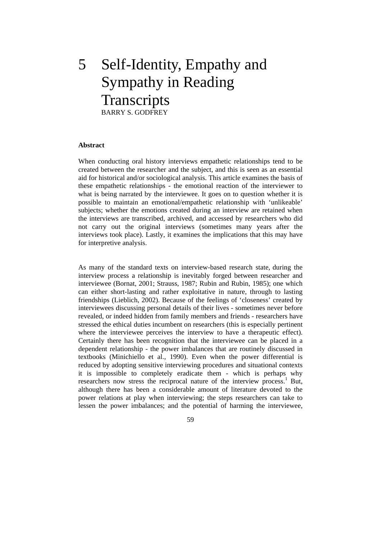# 5 Self-Identity, Empathy and Sympathy in Reading **Transcripts** BARRY S. GODFREY

## **Abstract**

When conducting oral history interviews empathetic relationships tend to be created between the researcher and the subject, and this is seen as an essential aid for historical and/or sociological analysis. This article examines the basis of these empathetic relationships - the emotional reaction of the interviewer to what is being narrated by the interviewee. It goes on to question whether it is possible to maintain an emotional/empathetic relationship with 'unlikeable' subjects; whether the emotions created during an interview are retained when the interviews are transcribed, archived, and accessed by researchers who did not carry out the original interviews (sometimes many years after the interviews took place). Lastly, it examines the implications that this may have for interpretive analysis.

As many of the standard texts on interview-based research state, during the interview process a relationship is inevitably forged between researcher and interviewee (Bornat, 2001; Strauss, 1987; Rubin and Rubin, 1985); one which can either short-lasting and rather exploitative in nature, through to lasting friendships (Lieblich, 2002). Because of the feelings of 'closeness' created by interviewees discussing personal details of their lives - sometimes never before revealed, or indeed hidden from family members and friends - researchers have stressed the ethical duties incumbent on researchers (this is especially pertinent where the interviewee perceives the interview to have a therapeutic effect). Certainly there has been recognition that the interviewee can be placed in a dependent relationship - the power imbalances that are routinely discussed in textbooks (Minichiello et al., 1990). Even when the power differential is reduced by adopting sensitive interviewing procedures and situational contexts it is impossible to completely eradicate them - which is perhaps why researchers now stress the reciprocal nature of the interview process.<sup>1</sup> But, although there has been a considerable amount of literature devoted to the power relations at play when interviewing; the steps researchers can take to lessen the power imbalances; and the potential of harming the interviewee,

59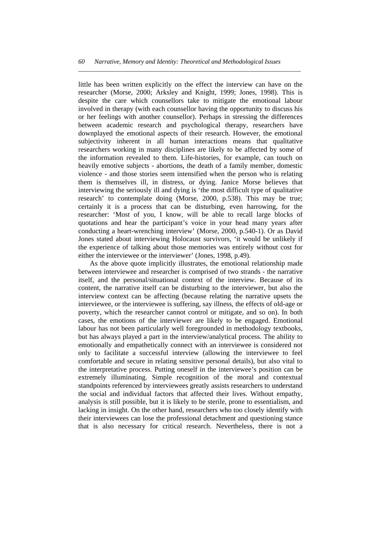*\_\_\_\_\_\_\_\_\_\_\_\_\_\_\_\_\_\_\_\_\_\_\_\_\_\_\_\_\_\_\_\_\_\_\_\_\_\_\_\_\_\_\_\_\_\_\_\_\_\_\_\_\_\_\_\_\_\_\_\_\_\_\_\_\_\_\_\_\_* 

little has been written explicitly on the effect the interview can have on the researcher (Morse, 2000; Arksley and Knight, 1999; Jones, 1998). This is despite the care which counsellors take to mitigate the emotional labour involved in therapy (with each counsellor having the opportunity to discuss his or her feelings with another counsellor). Perhaps in stressing the differences between academic research and psychological therapy, researchers have downplayed the emotional aspects of their research. However, the emotional subjectivity inherent in all human interactions means that qualitative researchers working in many disciplines are likely to be affected by some of the information revealed to them. Life-histories, for example, can touch on heavily emotive subjects - abortions, the death of a family member, domestic violence - and those stories seem intensified when the person who is relating them is themselves ill, in distress, or dying. Janice Morse believes that interviewing the seriously ill and dying is 'the most difficult type of qualitative research' to contemplate doing (Morse, 2000, p.538). This may be true; certainly it is a process that can be disturbing, even harrowing, for the researcher: 'Most of you, I know, will be able to recall large blocks of quotations and hear the participant's voice in your head many years after conducting a heart-wrenching interview' (Morse, 2000, p.540-1). Or as David Jones stated about interviewing Holocaust survivors, 'it would be unlikely if the experience of talking about those memories was entirely without cost for either the interviewee or the interviewer' (Jones, 1998, p.49).

 As the above quote implicitly illustrates, the emotional relationship made between interviewee and researcher is comprised of two strands - the narrative itself, and the personal/situational context of the interview. Because of its content, the narrative itself can be disturbing to the interviewer, but also the interview context can be affecting (because relating the narrative upsets the interviewee, or the interviewee is suffering, say illness, the effects of old-age or poverty, which the researcher cannot control or mitigate, and so on). In both cases, the emotions of the interviewer are likely to be engaged. Emotional labour has not been particularly well foregrounded in methodology textbooks, but has always played a part in the interview/analytical process. The ability to emotionally and empathetically connect with an interviewee is considered not only to facilitate a successful interview (allowing the interviewee to feel comfortable and secure in relating sensitive personal details), but also vital to the interpretative process. Putting oneself in the interviewee's position can be extremely illuminating. Simple recognition of the moral and contextual standpoints referenced by interviewees greatly assists researchers to understand the social and individual factors that affected their lives. Without empathy, analysis is still possible, but it is likely to be sterile, prone to essentialism, and lacking in insight. On the other hand, researchers who too closely identify with their interviewees can lose the professional detachment and questioning stance that is also necessary for critical research. Nevertheless, there is not a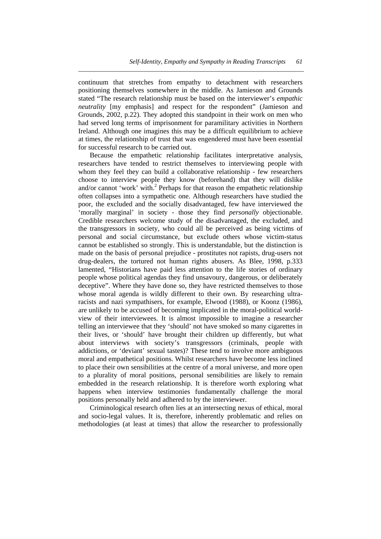continuum that stretches from empathy to detachment with researchers positioning themselves somewhere in the middle. As Jamieson and Grounds stated "The research relationship must be based on the interviewer's *empathic neutrality* [my emphasis] and respect for the respondent" (Jamieson and Grounds, 2002, p.22). They adopted this standpoint in their work on men who had served long terms of imprisonment for paramilitary activities in Northern Ireland. Although one imagines this may be a difficult equilibrium to achieve at times, the relationship of trust that was engendered must have been essential for successful research to be carried out.

*\_\_\_\_\_\_\_\_\_\_\_\_\_\_\_\_\_\_\_\_\_\_\_\_\_\_\_\_\_\_\_\_\_\_\_\_\_\_\_\_\_\_\_\_\_\_\_\_\_\_\_\_\_\_\_\_\_\_\_\_\_\_\_\_\_\_\_\_\_\_* 

 Because the empathetic relationship facilitates interpretative analysis, researchers have tended to restrict themselves to interviewing people with whom they feel they can build a collaborative relationship - few researchers choose to interview people they know (beforehand) that they will dislike and/or cannot 'work' with.<sup>2</sup> Perhaps for that reason the empathetic relationship often collapses into a sympathetic one. Although researchers have studied the poor, the excluded and the socially disadvantaged, few have interviewed the 'morally marginal' in society - those they find *personally* objectionable. Credible researchers welcome study of the disadvantaged, the excluded, and the transgressors in society, who could all be perceived as being victims of personal and social circumstance, but exclude others whose victim-status cannot be established so strongly. This is understandable, but the distinction is made on the basis of personal prejudice - prostitutes not rapists, drug-users not drug-dealers, the tortured not human rights abusers. As Blee, 1998, p.333 lamented, "Historians have paid less attention to the life stories of ordinary people whose political agendas they find unsavoury, dangerous, or deliberately deceptive". Where they have done so, they have restricted themselves to those whose moral agenda is wildly different to their own. By researching ultraracists and nazi sympathisers, for example, Elwood (1988), or Koonz (1986), are unlikely to be accused of becoming implicated in the moral-political worldview of their interviewees. It is almost impossible to imagine a researcher telling an interviewee that they 'should' not have smoked so many cigarettes in their lives, or 'should' have brought their children up differently, but what about interviews with society's transgressors (criminals, people with addictions, or 'deviant' sexual tastes)? These tend to involve more ambiguous moral and empathetical positions. Whilst researchers have become less inclined to place their own sensibilities at the centre of a moral universe, and more open to a plurality of moral positions, personal sensibilities are likely to remain embedded in the research relationship. It is therefore worth exploring what happens when interview testimonies fundamentally challenge the moral positions personally held and adhered to by the interviewer.

 Criminological research often lies at an intersecting nexus of ethical, moral and socio-legal values. It is, therefore, inherently problematic and relies on methodologies (at least at times) that allow the researcher to professionally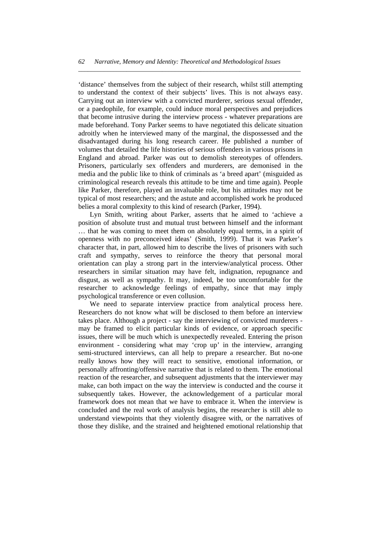*\_\_\_\_\_\_\_\_\_\_\_\_\_\_\_\_\_\_\_\_\_\_\_\_\_\_\_\_\_\_\_\_\_\_\_\_\_\_\_\_\_\_\_\_\_\_\_\_\_\_\_\_\_\_\_\_\_\_\_\_\_\_\_\_\_\_\_\_\_* 

'distance' themselves from the subject of their research, whilst still attempting to understand the context of their subjects' lives. This is not always easy. Carrying out an interview with a convicted murderer, serious sexual offender, or a paedophile, for example, could induce moral perspectives and prejudices that become intrusive during the interview process - whatever preparations are made beforehand. Tony Parker seems to have negotiated this delicate situation adroitly when he interviewed many of the marginal, the dispossessed and the disadvantaged during his long research career. He published a number of volumes that detailed the life histories of serious offenders in various prisons in England and abroad. Parker was out to demolish stereotypes of offenders. Prisoners, particularly sex offenders and murderers, are demonised in the media and the public like to think of criminals as 'a breed apart' (misguided as criminological research reveals this attitude to be time and time again). People like Parker, therefore, played an invaluable role, but his attitudes may not be typical of most researchers; and the astute and accomplished work he produced belies a moral complexity to this kind of research (Parker, 1994).

 Lyn Smith, writing about Parker, asserts that he aimed to 'achieve a position of absolute trust and mutual trust between himself and the informant … that he was coming to meet them on absolutely equal terms, in a spirit of openness with no preconceived ideas' (Smith, 1999). That it was Parker's character that, in part, allowed him to describe the lives of prisoners with such craft and sympathy, serves to reinforce the theory that personal moral orientation can play a strong part in the interview/analytical process. Other researchers in similar situation may have felt, indignation, repugnance and disgust, as well as sympathy. It may, indeed, be too uncomfortable for the researcher to acknowledge feelings of empathy, since that may imply psychological transference or even collusion.

 We need to separate interview practice from analytical process here. Researchers do not know what will be disclosed to them before an interview takes place. Although a project - say the interviewing of convicted murderers may be framed to elicit particular kinds of evidence, or approach specific issues, there will be much which is unexpectedly revealed. Entering the prison environment - considering what may 'crop up' in the interview, arranging semi-structured interviews, can all help to prepare a researcher. But no-one really knows how they will react to sensitive, emotional information, or personally affronting/offensive narrative that is related to them. The emotional reaction of the researcher, and subsequent adjustments that the interviewer may make, can both impact on the way the interview is conducted and the course it subsequently takes. However, the acknowledgement of a particular moral framework does not mean that we have to embrace it. When the interview is concluded and the real work of analysis begins, the researcher is still able to understand viewpoints that they violently disagree with, or the narratives of those they dislike, and the strained and heightened emotional relationship that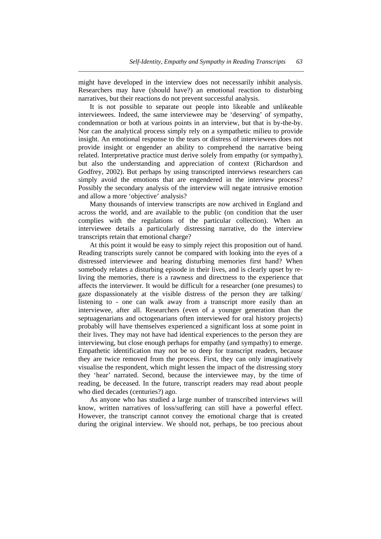might have developed in the interview does not necessarily inhibit analysis. Researchers may have (should have?) an emotional reaction to disturbing narratives, but their reactions do not prevent successful analysis.

*\_\_\_\_\_\_\_\_\_\_\_\_\_\_\_\_\_\_\_\_\_\_\_\_\_\_\_\_\_\_\_\_\_\_\_\_\_\_\_\_\_\_\_\_\_\_\_\_\_\_\_\_\_\_\_\_\_\_\_\_\_\_\_\_\_\_\_\_\_\_* 

 It is not possible to separate out people into likeable and unlikeable interviewees. Indeed, the same interviewee may be 'deserving' of sympathy, condemnation or both at various points in an interview, but that is by-the-by. Nor can the analytical process simply rely on a sympathetic milieu to provide insight. An emotional response to the tears or distress of interviewees does not provide insight or engender an ability to comprehend the narrative being related. Interpretative practice must derive solely from empathy (or sympathy), but also the understanding and appreciation of context (Richardson and Godfrey, 2002). But perhaps by using transcripted interviews researchers can simply avoid the emotions that are engendered in the interview process? Possibly the secondary analysis of the interview will negate intrusive emotion and allow a more 'objective' analysis?

 Many thousands of interview transcripts are now archived in England and across the world, and are available to the public (on condition that the user complies with the regulations of the particular collection). When an interviewee details a particularly distressing narrative, do the interview transcripts retain that emotional charge?

 At this point it would be easy to simply reject this proposition out of hand. Reading transcripts surely cannot be compared with looking into the eyes of a distressed interviewee and hearing disturbing memories first hand? When somebody relates a disturbing episode in their lives, and is clearly upset by reliving the memories, there is a rawness and directness to the experience that affects the interviewer. It would be difficult for a researcher (one presumes) to gaze dispassionately at the visible distress of the person they are talking/ listening to - one can walk away from a transcript more easily than an interviewee, after all. Researchers (even of a younger generation than the septuagenarians and octogenarians often interviewed for oral history projects) probably will have themselves experienced a significant loss at some point in their lives. They may not have had identical experiences to the person they are interviewing, but close enough perhaps for empathy (and sympathy) to emerge. Empathetic identification may not be so deep for transcript readers, because they are twice removed from the process. First, they can only imaginatively visualise the respondent, which might lessen the impact of the distressing story they 'hear' narrated. Second, because the interviewee may, by the time of reading, be deceased. In the future, transcript readers may read about people who died decades (centuries?) ago.

 As anyone who has studied a large number of transcribed interviews will know, written narratives of loss/suffering can still have a powerful effect. However, the transcript cannot convey the emotional charge that is created during the original interview. We should not, perhaps, be too precious about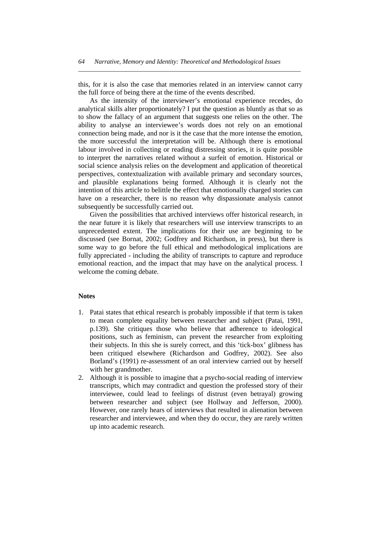this, for it is also the case that memories related in an interview cannot carry the full force of being there at the time of the events described.

*\_\_\_\_\_\_\_\_\_\_\_\_\_\_\_\_\_\_\_\_\_\_\_\_\_\_\_\_\_\_\_\_\_\_\_\_\_\_\_\_\_\_\_\_\_\_\_\_\_\_\_\_\_\_\_\_\_\_\_\_\_\_\_\_\_\_\_\_\_* 

 As the intensity of the interviewer's emotional experience recedes, do analytical skills alter proportionately? I put the question as bluntly as that so as to show the fallacy of an argument that suggests one relies on the other. The ability to analyse an interviewee's words does not rely on an emotional connection being made, and nor is it the case that the more intense the emotion, the more successful the interpretation will be. Although there is emotional labour involved in collecting or reading distressing stories, it is quite possible to interpret the narratives related without a surfeit of emotion. Historical or social science analysis relies on the development and application of theoretical perspectives, contextualization with available primary and secondary sources, and plausible explanations being formed. Although it is clearly not the intention of this article to belittle the effect that emotionally charged stories can have on a researcher, there is no reason why dispassionate analysis cannot subsequently be successfully carried out.

 Given the possibilities that archived interviews offer historical research, in the near future it is likely that researchers will use interview transcripts to an unprecedented extent. The implications for their use are beginning to be discussed (see Bornat, 2002; Godfrey and Richardson, in press), but there is some way to go before the full ethical and methodological implications are fully appreciated - including the ability of transcripts to capture and reproduce emotional reaction, and the impact that may have on the analytical process. I welcome the coming debate.

## **Notes**

- 1. Patai states that ethical research is probably impossible if that term is taken to mean complete equality between researcher and subject (Patai, 1991, p.139). She critiques those who believe that adherence to ideological positions, such as feminism, can prevent the researcher from exploiting their subjects. In this she is surely correct, and this 'tick-box' glibness has been critiqued elsewhere (Richardson and Godfrey, 2002). See also Borland's (1991) re-assessment of an oral interview carried out by herself with her grandmother.
- 2. Although it is possible to imagine that a psycho-social reading of interview transcripts, which may contradict and question the professed story of their interviewee, could lead to feelings of distrust (even betrayal) growing between researcher and subject (see Hollway and Jefferson, 2000). However, one rarely hears of interviews that resulted in alienation between researcher and interviewee, and when they do occur, they are rarely written up into academic research.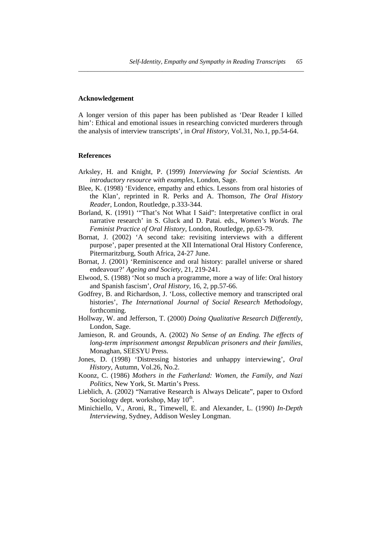## **Acknowledgement**

A longer version of this paper has been published as 'Dear Reader I killed him': Ethical and emotional issues in researching convicted murderers through the analysis of interview transcripts', in *Oral History*, Vol.31, No.1, pp.54-64.

*\_\_\_\_\_\_\_\_\_\_\_\_\_\_\_\_\_\_\_\_\_\_\_\_\_\_\_\_\_\_\_\_\_\_\_\_\_\_\_\_\_\_\_\_\_\_\_\_\_\_\_\_\_\_\_\_\_\_\_\_\_\_\_\_\_\_\_\_\_\_* 

#### **References**

- Arksley, H. and Knight, P. (1999) *Interviewing for Social Scientists. An introductory resource with examples*, London, Sage.
- Blee, K. (1998) 'Evidence, empathy and ethics. Lessons from oral histories of the Klan', reprinted in R. Perks and A. Thomson, *The Oral History Reader*, London, Routledge, p.333-344.
- Borland, K. (1991) '"That's Not What I Said": Interpretative conflict in oral narrative research' in S. Gluck and D. Patai. eds., *Women's Words. The Feminist Practice of Oral History*, London, Routledge, pp.63-79.
- Bornat, J. (2002) 'A second take: revisiting interviews with a different purpose', paper presented at the XII International Oral History Conference, Pitermaritzburg, South Africa, 24-27 June.
- Bornat, J. (2001) 'Reminiscence and oral history: parallel universe or shared endeavour?' *Ageing and Society*, 21, 219-241.
- Elwood, S. (1988) 'Not so much a programme, more a way of life: Oral history and Spanish fascism', *Oral History*, 16, 2, pp.57-66.
- Godfrey, B. and Richardson, J. 'Loss, collective memory and transcripted oral histories', *The International Journal of Social Research Methodology*, forthcoming.
- Hollway, W. and Jefferson, T. (2000) *Doing Qualitative Research Differently*, London, Sage.
- Jamieson, R. and Grounds, A. (2002) *No Sense of an Ending. The effects of long-term imprisonment amongst Republican prisoners and their families*, Monaghan, SEESYU Press.
- Jones, D. (1998) 'Distressing histories and unhappy interviewing', *Oral History*, Autumn, Vol.26, No.2.
- Koonz, C. (1986) *Mothers in the Fatherland: Women, the Family, and Nazi Politics*, New York, St. Martin's Press.
- Lieblich, A. (2002) "Narrative Research is Always Delicate", paper to Oxford Sociology dept. workshop, May  $10^{th}$ .
- Minichiello, V., Aroni, R., Timewell, E. and Alexander, L. (1990) *In-Depth Interviewing*, Sydney, Addison Wesley Longman.